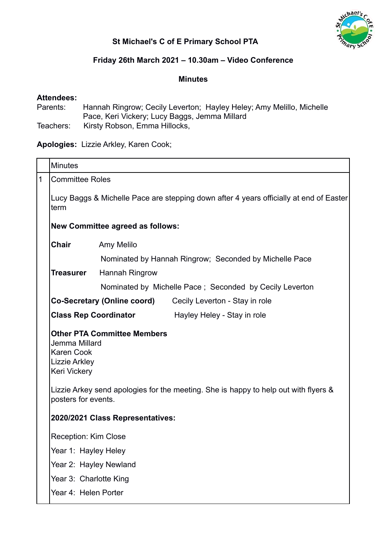

# **St Michael's C of E Primary School PTA**

# **Friday 26th March 2021 – 10.30am – Video Conference**

#### **Minutes**

### **Attendees:**

| Parents:  | Hannah Ringrow; Cecily Leverton; Hayley Heley; Amy Melillo, Michelle |
|-----------|----------------------------------------------------------------------|
|           | Pace, Keri Vickery; Lucy Baggs, Jemma Millard                        |
| Teachers: | Kirsty Robson, Emma Hillocks,                                        |

**Apologies:** Lizzie Arkley, Karen Cook;

|   | <b>Minutes</b>                                                                                                                                 |                                                                      |  |
|---|------------------------------------------------------------------------------------------------------------------------------------------------|----------------------------------------------------------------------|--|
| 1 | <b>Committee Roles</b><br>Lucy Baggs & Michelle Pace are stepping down after 4 years officially at end of Easter<br>term                       |                                                                      |  |
|   |                                                                                                                                                |                                                                      |  |
|   | <b>New Committee agreed as follows:</b>                                                                                                        |                                                                      |  |
|   | Chair                                                                                                                                          | Amy Melilo                                                           |  |
|   |                                                                                                                                                | Nominated by Hannah Ringrow; Seconded by Michelle Pace               |  |
|   | <b>Treasurer</b>                                                                                                                               | Hannah Ringrow                                                       |  |
|   |                                                                                                                                                | Nominated by Michelle Pace; Seconded by Cecily Leverton              |  |
|   |                                                                                                                                                | <b>Co-Secretary (Online coord)</b><br>Cecily Leverton - Stay in role |  |
|   |                                                                                                                                                | <b>Class Rep Coordinator</b> Hayley Heley - Stay in role             |  |
|   | <b>Other PTA Committee Members</b><br>Jemma Millard<br><b>Karen Cook</b><br>Lizzie Arkley<br><b>Keri Vickery</b>                               |                                                                      |  |
|   | Lizzie Arkey send apologies for the meeting. She is happy to help out with flyers &<br>posters for events.<br>2020/2021 Class Representatives: |                                                                      |  |
|   |                                                                                                                                                |                                                                      |  |
|   | <b>Reception: Kim Close</b>                                                                                                                    |                                                                      |  |
|   | Year 1: Hayley Heley                                                                                                                           |                                                                      |  |
|   | Year 2: Hayley Newland                                                                                                                         |                                                                      |  |
|   | Year 3: Charlotte King                                                                                                                         |                                                                      |  |
|   | Year 4: Helen Porter                                                                                                                           |                                                                      |  |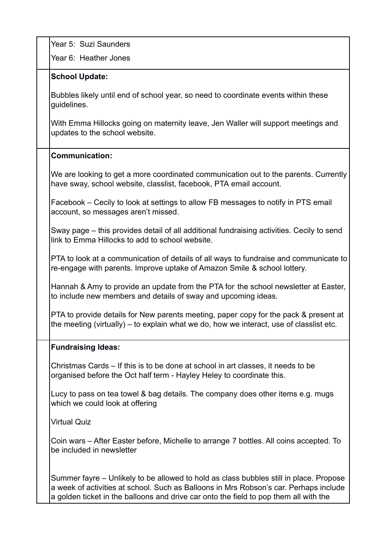Year 5: Suzi Saunders

Year 6: Heather Jones

### **School Update:**

Bubbles likely until end of school year, so need to coordinate events within these guidelines.

With Emma Hillocks going on maternity leave, Jen Waller will support meetings and updates to the school website.

### **Communication:**

We are looking to get a more coordinated communication out to the parents. Currently have sway, school website, classlist, facebook, PTA email account.

Facebook – Cecily to look at settings to allow FB messages to notify in PTS email account, so messages aren't missed.

Sway page – this provides detail of all additional fundraising activities. Cecily to send link to Emma Hillocks to add to school website.

PTA to look at a communication of details of all ways to fundraise and communicate to re-engage with parents. Improve uptake of Amazon Smile & school lottery.

Hannah & Amy to provide an update from the PTA for the school newsletter at Easter, to include new members and details of sway and upcoming ideas.

PTA to provide details for New parents meeting, paper copy for the pack & present at the meeting (virtually) – to explain what we do, how we interact, use of classlist etc.

#### **Fundraising Ideas:**

Christmas Cards – If this is to be done at school in art classes, it needs to be organised before the Oct half term - Hayley Heley to coordinate this.

Lucy to pass on tea towel & bag details. The company does other items e.g. mugs which we could look at offering

Virtual Quiz

Coin wars – After Easter before, Michelle to arrange 7 bottles. All coins accepted. To be included in newsletter

Summer fayre – Unlikely to be allowed to hold as class bubbles still in place. Propose a week of activities at school. Such as Balloons in Mrs Robson's car. Perhaps include a golden ticket in the balloons and drive car onto the field to pop them all with the